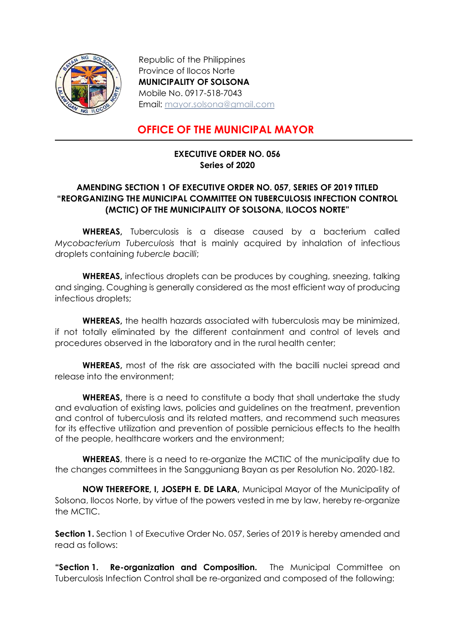

Republic of the Philippines Province of Ilocos Norte MUNICIPALITY OF SOLSONA Mobile No. 0917-518-7043 Email: mayor.solsona@gmail.com

## OFFICE OF THE MUNICIPAL MAYOR

## EXECUTIVE ORDER NO. 056 Series of 2020

## AMENDING SECTION 1 OF EXECUTIVE ORDER NO. 057, SERIES OF 2019 TITLED "REORGANIZING THE MUNICIPAL COMMITTEE ON TUBERCULOSIS INFECTION CONTROL (MCTIC) OF THE MUNICIPALITY OF SOLSONA, ILOCOS NORTE"

WHEREAS, Tuberculosis is a disease caused by a bacterium called Mycobacterium Tuberculosis that is mainly acquired by inhalation of infectious droplets containing tubercle bacilli;

WHEREAS, infectious droplets can be produces by coughing, sneezing, talking and singing. Coughing is generally considered as the most efficient way of producing infectious droplets;

WHEREAS, the health hazards associated with tuberculosis may be minimized, if not totally eliminated by the different containment and control of levels and procedures observed in the laboratory and in the rural health center;

WHEREAS, most of the risk are associated with the bacilli nuclei spread and release into the environment;

WHEREAS, there is a need to constitute a body that shall undertake the study and evaluation of existing laws, policies and guidelines on the treatment, prevention and control of tuberculosis and its related matters, and recommend such measures for its effective utilization and prevention of possible pernicious effects to the health of the people, healthcare workers and the environment;

**WHEREAS**, there is a need to re-organize the MCTIC of the municipality due to the changes committees in the Sangguniang Bayan as per Resolution No. 2020-182.

NOW THEREFORE, I, JOSEPH E. DE LARA, Municipal Mayor of the Municipality of Solsona, Ilocos Norte, by virtue of the powers vested in me by law, hereby re-organize the MCTIC.

**Section 1.** Section 1 of Executive Order No. 057, Series of 2019 is hereby amended and read as follows:

"Section 1. Re-organization and Composition. The Municipal Committee on Tuberculosis Infection Control shall be re-organized and composed of the following: